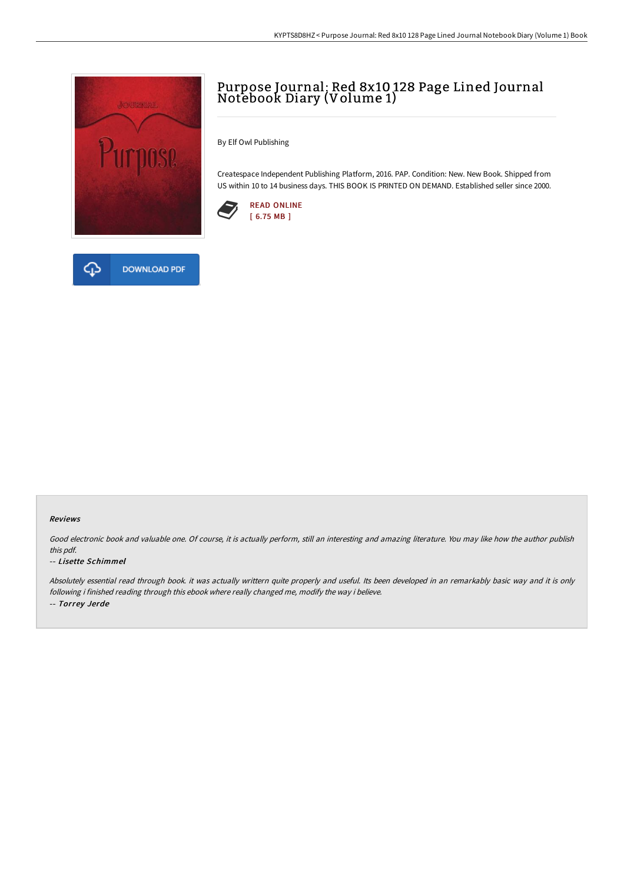

**DOWNLOAD PDF** 

# Purpose Journal: Red 8x10 128 Page Lined Journal Notebook Diary (Volume 1)

By Elf Owl Publishing

Createspace Independent Publishing Platform, 2016. PAP. Condition: New. New Book. Shipped from US within 10 to 14 business days. THIS BOOK IS PRINTED ON DEMAND. Established seller since 2000.





安

### Reviews

Good electronic book and valuable one. Of course, it is actually perform, still an interesting and amazing literature. You may like how the author publish this pdf.

### -- Lisette Schimmel

Absolutely essential read through book. it was actually writtern quite properly and useful. Its been developed in an remarkably basic way and it is only following i finished reading through this ebook where really changed me, modify the way i believe. -- Torrey Jerde